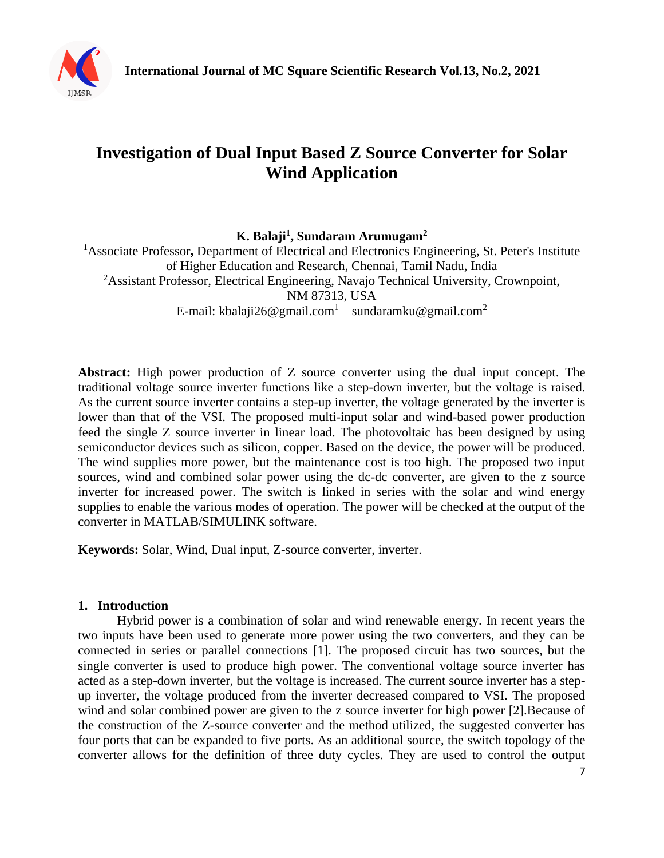

# **Investigation of Dual Input Based Z Source Converter for Solar Wind Application**

**K. Balaji<sup>1</sup> , Sundaram Arumugam<sup>2</sup>**

<sup>1</sup> Associate Professor, Department of Electrical and Electronics Engineering, St. Peter's Institute of Higher Education and Research, Chennai, Tamil Nadu, India <sup>2</sup>Assistant Professor, Electrical Engineering, Navajo Technical University, Crownpoint, NM 87313, USA E-mail: kbalaji26@gmail.com<sup>1</sup> sundaramku@gmail.com<sup>2</sup>

**Abstract:** High power production of Z source converter using the dual input concept. The traditional voltage source inverter functions like a step-down inverter, but the voltage is raised. As the current source inverter contains a step-up inverter, the voltage generated by the inverter is lower than that of the VSI. The proposed multi-input solar and wind-based power production feed the single Z source inverter in linear load. The photovoltaic has been designed by using semiconductor devices such as silicon, copper. Based on the device, the power will be produced. The wind supplies more power, but the maintenance cost is too high. The proposed two input sources, wind and combined solar power using the dc-dc converter, are given to the z source inverter for increased power. The switch is linked in series with the solar and wind energy supplies to enable the various modes of operation. The power will be checked at the output of the converter in MATLAB/SIMULINK software.

**Keywords:** Solar, Wind, Dual input, Z-source converter, inverter.

### **1. Introduction**

Hybrid power is a combination of solar and wind renewable energy. In recent years the two inputs have been used to generate more power using the two converters, and they can be connected in series or parallel connections [1]. The proposed circuit has two sources, but the single converter is used to produce high power. The conventional voltage source inverter has acted as a step-down inverter, but the voltage is increased. The current source inverter has a stepup inverter, the voltage produced from the inverter decreased compared to VSI. The proposed wind and solar combined power are given to the z source inverter for high power [2].Because of the construction of the Z-source converter and the method utilized, the suggested converter has four ports that can be expanded to five ports. As an additional source, the switch topology of the converter allows for the definition of three duty cycles. They are used to control the output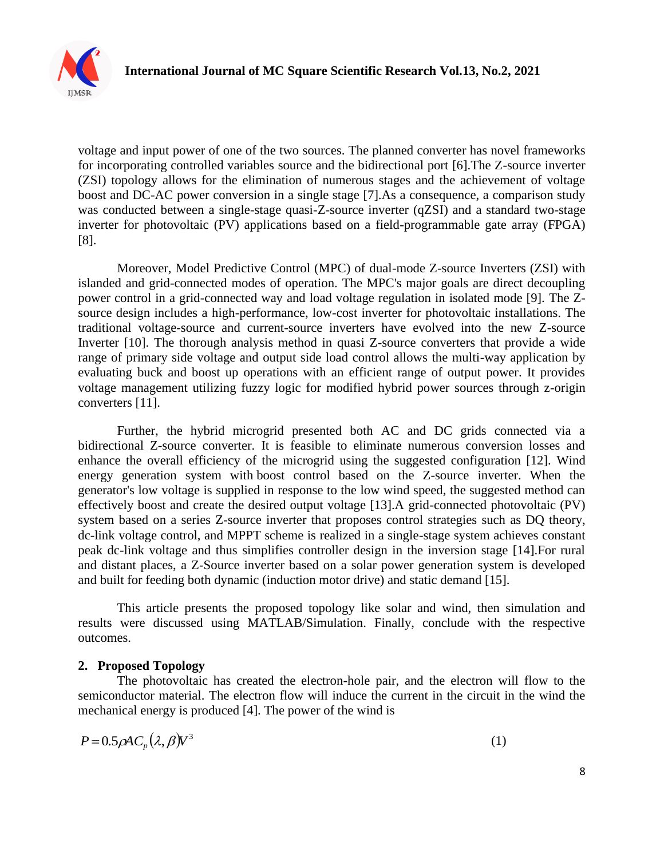

voltage and input power of one of the two sources. The planned converter has novel frameworks for incorporating controlled variables source and the bidirectional port [6].The Z-source inverter (ZSI) topology allows for the elimination of numerous stages and the achievement of voltage boost and DC-AC power conversion in a single stage [7].As a consequence, a comparison study was conducted between a single-stage quasi-Z-source inverter (qZSI) and a standard two-stage inverter for photovoltaic (PV) applications based on a field-programmable gate array (FPGA) [8].

Moreover, Model Predictive Control (MPC) of dual-mode Z-source Inverters (ZSI) with islanded and grid-connected modes of operation. The MPC's major goals are direct decoupling power control in a grid-connected way and load voltage regulation in isolated mode [9]. The Zsource design includes a high-performance, low-cost inverter for photovoltaic installations. The traditional voltage-source and current-source inverters have evolved into the new Z-source Inverter [10]. The thorough analysis method in quasi Z-source converters that provide a wide range of primary side voltage and output side load control allows the multi-way application by evaluating buck and boost up operations with an efficient range of output power. It provides voltage management utilizing fuzzy logic for modified hybrid power sources through z-origin converters [11].

Further, the hybrid microgrid presented both AC and DC grids connected via a bidirectional Z-source converter. It is feasible to eliminate numerous conversion losses and enhance the overall efficiency of the microgrid using the suggested configuration [12]. Wind energy generation system with boost control based on the Z-source inverter. When the generator's low voltage is supplied in response to the low wind speed, the suggested method can effectively boost and create the desired output voltage [13].A grid-connected photovoltaic (PV) system based on a series Z-source inverter that proposes control strategies such as DQ theory, dc-link voltage control, and MPPT scheme is realized in a single-stage system achieves constant peak dc-link voltage and thus simplifies controller design in the inversion stage [14].For rural and distant places, a Z-Source inverter based on a solar power generation system is developed and built for feeding both dynamic (induction motor drive) and static demand [15].

This article presents the proposed topology like solar and wind, then simulation and results were discussed using MATLAB/Simulation. Finally, conclude with the respective outcomes.

#### **2. Proposed Topology**

The photovoltaic has created the electron-hole pair, and the electron will flow to the semiconductor material. The electron flow will induce the current in the circuit in the wind the mechanical energy is produced [4]. The power of the wind is

$$
P = 0.5 \rho A C_p (\lambda, \beta) V^3 \tag{1}
$$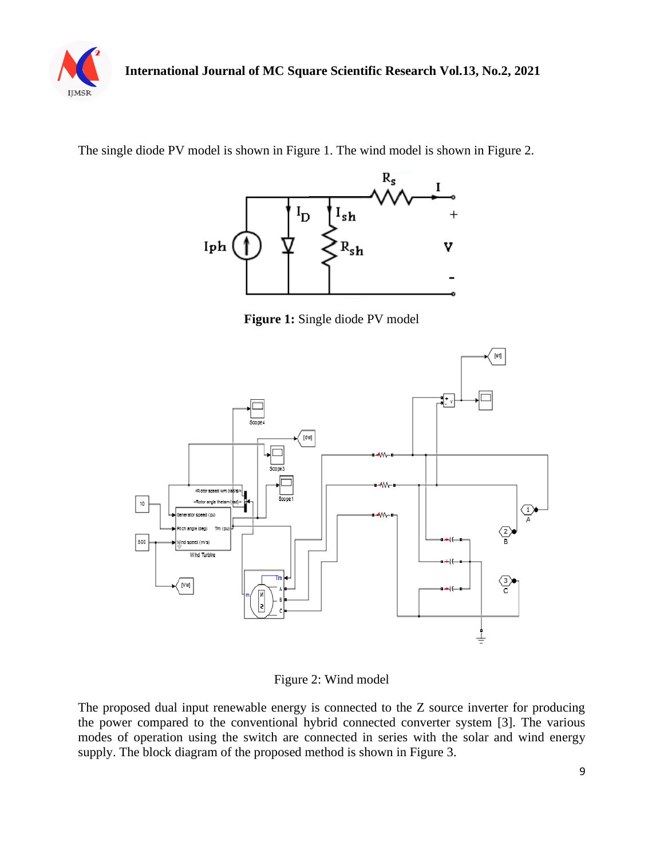

The single diode PV model is shown in Figure 1. The wind model is shown in Figure 2.



**Figure 1:** Single diode PV model



Figure 2: Wind model

The proposed dual input renewable energy is connected to the Z source inverter for producing the power compared to the conventional hybrid connected converter system [3]. The various modes of operation using the switch are connected in series with the solar and wind energy supply. The block diagram of the proposed method is shown in Figure 3.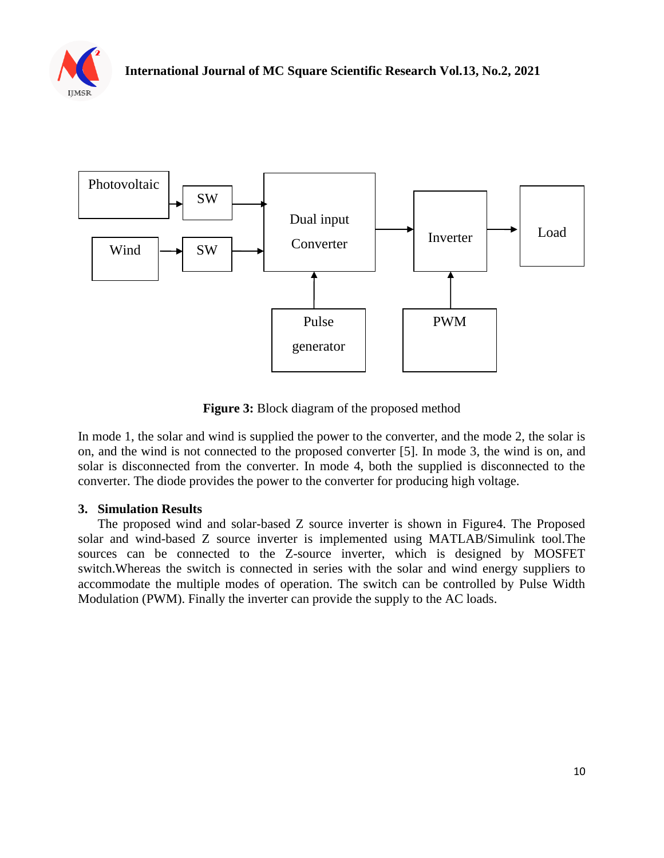



**Figure 3:** Block diagram of the proposed method

In mode 1, the solar and wind is supplied the power to the converter, and the mode 2, the solar is on, and the wind is not connected to the proposed converter [5]. In mode 3, the wind is on, and solar is disconnected from the converter. In mode 4, both the supplied is disconnected to the converter. The diode provides the power to the converter for producing high voltage.

### **3. Simulation Results**

The proposed wind and solar-based Z source inverter is shown in Figure4. The Proposed solar and wind-based Z source inverter is implemented using MATLAB/Simulink tool.The sources can be connected to the Z-source inverter, which is designed by MOSFET switch.Whereas the switch is connected in series with the solar and wind energy suppliers to accommodate the multiple modes of operation. The switch can be controlled by Pulse Width Modulation (PWM). Finally the inverter can provide the supply to the AC loads.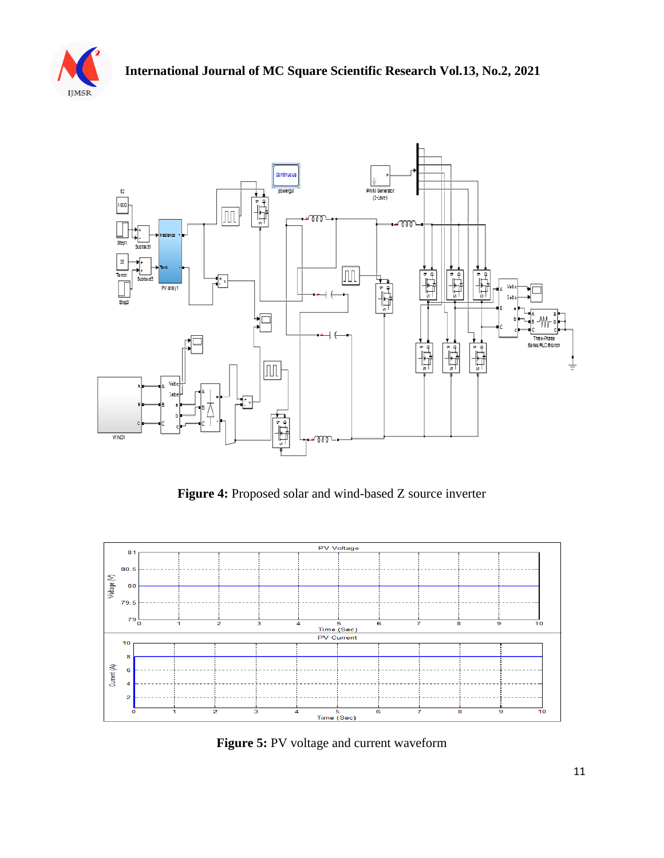



**Figure 4:** Proposed solar and wind-based Z source inverter



**Figure 5:** PV voltage and current waveform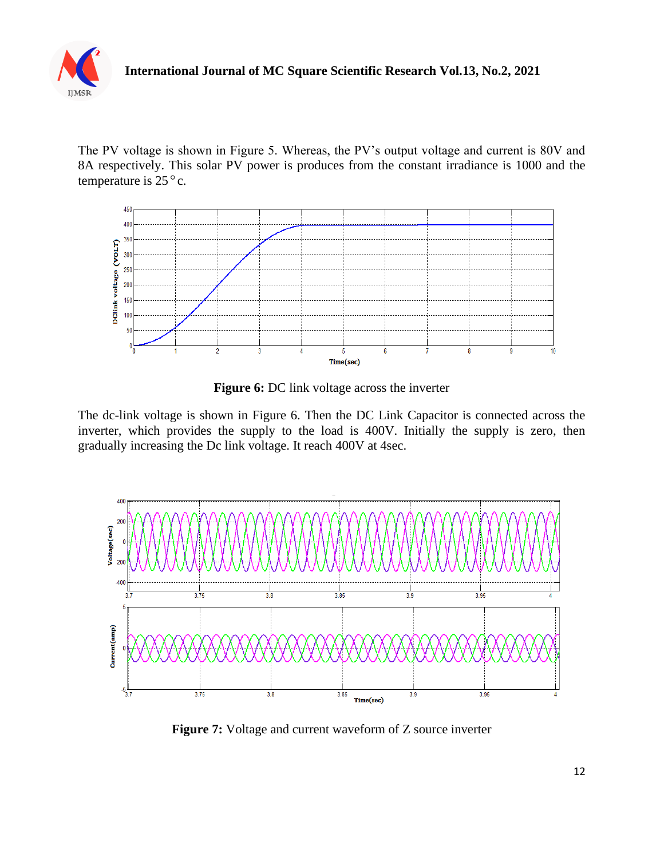

The PV voltage is shown in Figure 5. Whereas, the PV's output voltage and current is 80V and 8A respectively. This solar PV power is produces from the constant irradiance is 1000 and the temperature is  $25^{\circ}$  c.



**Figure 6:** DC link voltage across the inverter

The dc-link voltage is shown in Figure 6. Then the DC Link Capacitor is connected across the inverter, which provides the supply to the load is 400V. Initially the supply is zero, then gradually increasing the Dc link voltage. It reach 400V at 4sec.



**Figure 7:** Voltage and current waveform of Z source inverter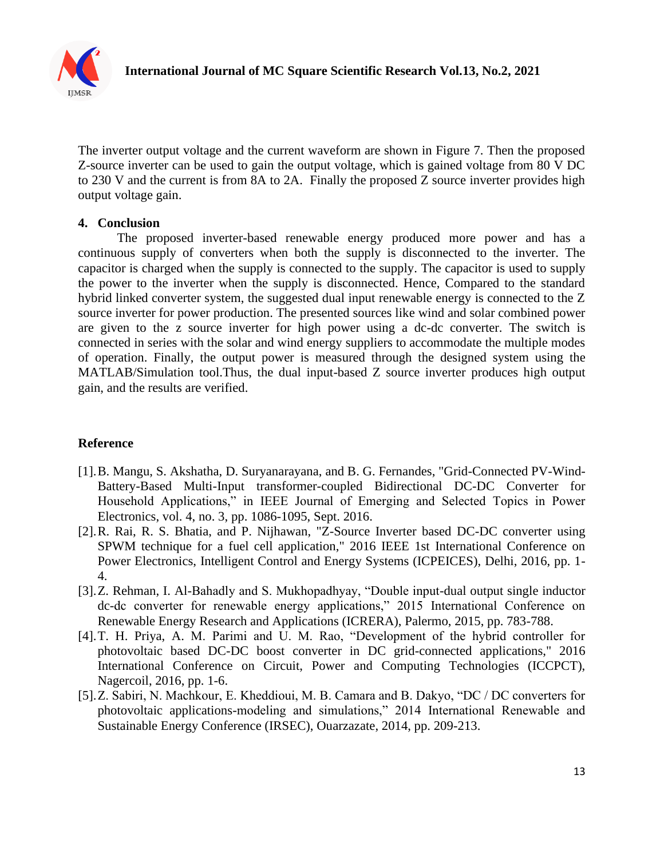

The inverter output voltage and the current waveform are shown in Figure 7. Then the proposed Z-source inverter can be used to gain the output voltage, which is gained voltage from 80 V DC to 230 V and the current is from 8A to 2A. Finally the proposed Z source inverter provides high output voltage gain.

### **4. Conclusion**

The proposed inverter-based renewable energy produced more power and has a continuous supply of converters when both the supply is disconnected to the inverter. The capacitor is charged when the supply is connected to the supply. The capacitor is used to supply the power to the inverter when the supply is disconnected. Hence, Compared to the standard hybrid linked converter system, the suggested dual input renewable energy is connected to the Z source inverter for power production. The presented sources like wind and solar combined power are given to the z source inverter for high power using a dc-dc converter. The switch is connected in series with the solar and wind energy suppliers to accommodate the multiple modes of operation. Finally, the output power is measured through the designed system using the MATLAB/Simulation tool.Thus, the dual input-based Z source inverter produces high output gain, and the results are verified.

## **Reference**

- [1].B. Mangu, S. Akshatha, D. Suryanarayana, and B. G. Fernandes, "Grid-Connected PV-Wind-Battery-Based Multi-Input transformer-coupled Bidirectional DC-DC Converter for Household Applications," in IEEE Journal of Emerging and Selected Topics in Power Electronics, vol. 4, no. 3, pp. 1086-1095, Sept. 2016.
- [2].R. Rai, R. S. Bhatia, and P. Nijhawan, "Z-Source Inverter based DC-DC converter using SPWM technique for a fuel cell application," 2016 IEEE 1st International Conference on Power Electronics, Intelligent Control and Energy Systems (ICPEICES), Delhi, 2016, pp. 1- 4.
- [3].Z. Rehman, I. Al-Bahadly and S. Mukhopadhyay, "Double input-dual output single inductor dc-dc converter for renewable energy applications," 2015 International Conference on Renewable Energy Research and Applications (ICRERA), Palermo, 2015, pp. 783-788.
- [4].T. H. Priya, A. M. Parimi and U. M. Rao, "Development of the hybrid controller for photovoltaic based DC-DC boost converter in DC grid-connected applications," 2016 International Conference on Circuit, Power and Computing Technologies (ICCPCT), Nagercoil, 2016, pp. 1-6.
- [5].Z. Sabiri, N. Machkour, E. Kheddioui, M. B. Camara and B. Dakyo, "DC / DC converters for photovoltaic applications-modeling and simulations," 2014 International Renewable and Sustainable Energy Conference (IRSEC), Ouarzazate, 2014, pp. 209-213.